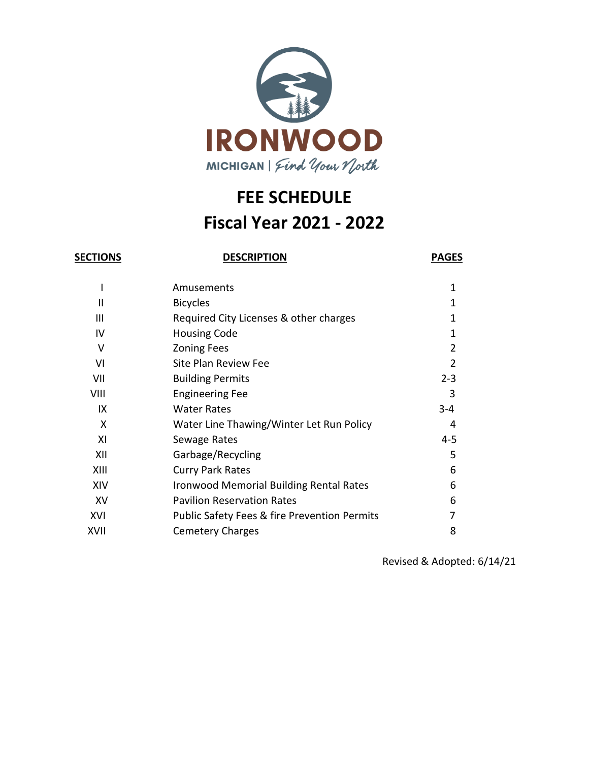

# **FEE SCHEDULE Fiscal Year 2021 - 2022**

**SECTIONS DESCRIPTION PAGES**

|      | Amusements                                              | 1       |
|------|---------------------------------------------------------|---------|
| Ш    | <b>Bicycles</b>                                         | 1       |
| Ш    | Required City Licenses & other charges                  | 1       |
| IV   | <b>Housing Code</b>                                     | 1       |
| v    | <b>Zoning Fees</b>                                      | 2       |
| VI   | Site Plan Review Fee                                    | 2       |
| VII  | <b>Building Permits</b>                                 | $2 - 3$ |
| VIII | <b>Engineering Fee</b>                                  | 3       |
| IX   | <b>Water Rates</b>                                      | $3 - 4$ |
| X    | Water Line Thawing/Winter Let Run Policy                | 4       |
| XI   | Sewage Rates                                            | $4 - 5$ |
| XII  | Garbage/Recycling                                       | 5       |
| XIII | <b>Curry Park Rates</b>                                 | 6       |
| XIV  | <b>Ironwood Memorial Building Rental Rates</b>          | 6       |
| XV   | <b>Pavilion Reservation Rates</b>                       | 6       |
| XVI  | <b>Public Safety Fees &amp; fire Prevention Permits</b> | 7       |
| XVII | <b>Cemetery Charges</b>                                 | 8       |

Revised & Adopted: 6/14/21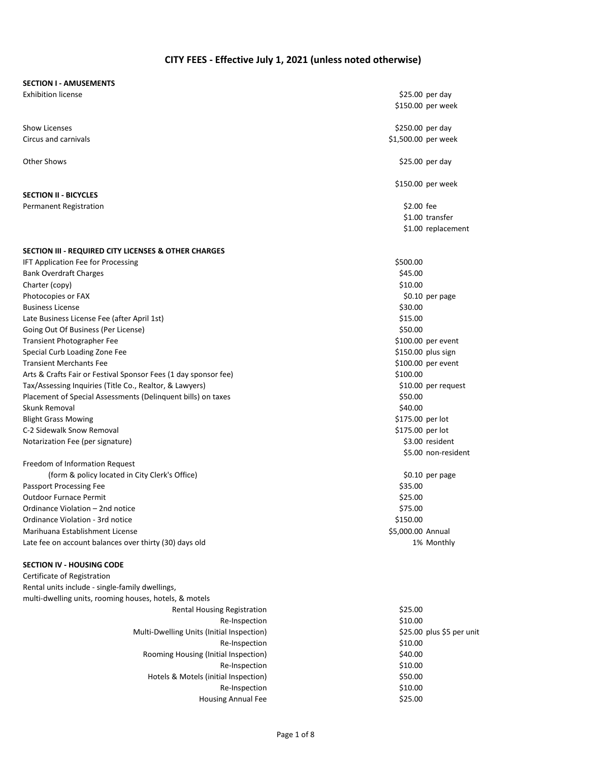#### **CITY FEES - Effective July 1, 2021 (unless noted otherwise)**

#### **SECTION I - AMUSEMENTS**

Show Licenses \$250.00 per day \$250.00 per day \$250.00 per day \$250.00 per day \$250.00 per day \$250.00 per day Circus and carnivals **but a controlled to the controlled to the controlled to the controlled to the controlled to the controlled to the controlled to the controlled to the controlled to the controlled to the controlled to** 

**SECTION II - BICYCLES**

# Permanent Registration  $\epsilon$  and  $\epsilon$  and  $\epsilon$  and  $\epsilon$  are proposed to  $\epsilon$  and  $\epsilon$  are proposed to  $\epsilon$  and  $\epsilon$  are proposed to  $\epsilon$  and  $\epsilon$  and  $\epsilon$  are proposed to  $\epsilon$  and  $\epsilon$  are proposed to  $\epsilon$  and  $\epsilon$  are prop

#### **SECTION III - REQUIRED CITY LICENSES & OTHER CHARGES**

IFT Application Fee for Processing **\$500.00** S500.00 Bank Overdraft Charges **\$45.00 SAS** Charter (copy) \$10.00 Photocopies or FAX  $\text{S}0.10$  per page Business License \$30.00 Late Business License Fee (after April 1st)  $$15.00$ Going Out Of Business (Per License) **\$50.00 \$50.00 \$50.00 \$50.00** Transient Photographer Fee **\$100.00** per event Special Curb Loading Zone Fee  $$150.00$  plus sign Transient Merchants Fee  $\sim$  \$100.00 per event Arts & Crafts Fair or Festival Sponsor Fees (1 day sponsor fee)  $$100.00$ Tax/Assessing Inquiries (Title Co., Realtor, & Lawyers) 610.00 per request Placement of Special Assessments (Delinquent bills) on taxes \$50.000 \$50.00 Skunk Removal **\$40.00** Blight Grass Mowing **blue and the Contract of Contract Contract Contract Contract Contract Contract Contract Contract Contract Contract Contract Contract Contract Contract Contract Contract Contract Contract Contract Contr** C-2 Sidewalk Snow Removal **\$175.00 per lot** Notarization Fee (per signature)  $\sim$  83.00 resident

Freedom of Information Request (form & policy located in City Clerk's Office)  $\lesssim$  60.10 per page Passport Processing Fee  $$35.00$ Outdoor Furnace Permit \$25.00 Ordinance Violation – 2nd notice \$75.00 Ordinance Violation - 3rd notice  $\sim$  5150.00 Marihuana Establishment License \$5,000.00 Annual Late fee on account balances over thirty (30) days old 1% Monthly 1% Monthly

#### **SECTION IV - HOUSING CODE**

Certificate of Registration Rental units include - single-family dwellings, multi-dwelling units, rooming houses, hotels, & motels Rental Housing Registration  $$25.00$ 

Re-Inspection \$10.00 Multi-Dwelling Units (Initial Inspection) \$25.00 plus \$5 per unit Re-Inspection \$10.00 Rooming Housing (Initial Inspection) 640.00 Re-Inspection \$10.00 Hotels & Motels (initial Inspection)  $$50.00$ Re-Inspection \$10.00 Housing Annual Fee \$25.00

Exhibition license \$25.00 per day \$150.00 per week Other Shows \$25.00 per day \$150.00 per week \$1.00 transfer \$1.00 replacement \$5.00 non-resident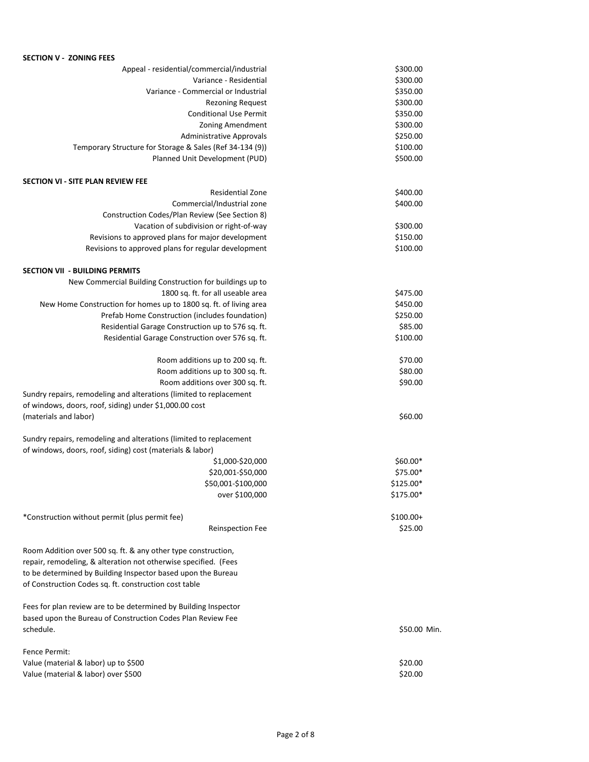# **SECTION V - ZONING FEES** Appeal - residential/commercial/industrial  $$300.00$ Variance - Residential  $\frac{1}{2}$   $\frac{300.00}{2}$ Variance - Commercial or Industrial  $\frac{1}{2}$  \$350.00 Rezoning Request \$300.00 Conditional Use Permit \$350.00 Zoning Amendment \$300.00 Administrative Approvals **Example 250.00** Temporary Structure for Storage & Sales (Ref 34-134 (9)) \$100.00 Planned Unit Development (PUD) \$500.00 **SECTION VI - SITE PLAN REVIEW FEE** Residential Zone \$400.00 Commercial/Industrial zone \$400.00 Construction Codes/Plan Review (See Section 8) Vacation of subdivision or right-of-way  $\frac{1}{2}$  \$300.00 Revisions to approved plans for major development \$150.00 Revisions to approved plans for regular development  $$100.00$ **SECTION VII - BUILDING PERMITS** New Commercial Building Construction for buildings up to 1800 sq. ft. for all useable area  $$475.00$ New Home Construction for homes up to 1800 sq. ft. of living area  $$450.00$ Prefab Home Construction (includes foundation) 6250.00 Residential Garage Construction up to 576 sq. ft.  $$85.00$ Residential Garage Construction over 576 sq. ft.  $$100.00$ Room additions up to 200 sq. ft.  $$70.00$ Room additions up to 300 sq. ft.  $$80.00$ Room additions over 300 sq. ft.  $\frac{1}{2}$  sq. ft. Sundry repairs, remodeling and alterations (limited to replacement of windows, doors, roof, siding) under \$1,000.00 cost (materials and labor)  $\lesssim 60.00$ Sundry repairs, remodeling and alterations (limited to replacement of windows, doors, roof, siding) cost (materials & labor) \$1,000-\$20,000 \$60.00 \$60.00 \$ \$20,001-\$50,000 \$75.00\* \$50,001-\$100,000 \$125.00\* over \$100,000 \$175.00\* \*Construction without permit (plus permit fee) \$100.00+ Reinspection Fee \$25.00 Room Addition over 500 sq. ft. & any other type construction, repair, remodeling, & alteration not otherwise specified. (Fees to be determined by Building Inspector based upon the Bureau of Construction Codes sq. ft. construction cost table Fees for plan review are to be determined by Building Inspector based upon the Bureau of Construction Codes Plan Review Fee schedule. \$50.00 Min. Fence Permit: Value (material & labor) up to \$500 \$20.00 Value (material & labor) over \$500 \$20.00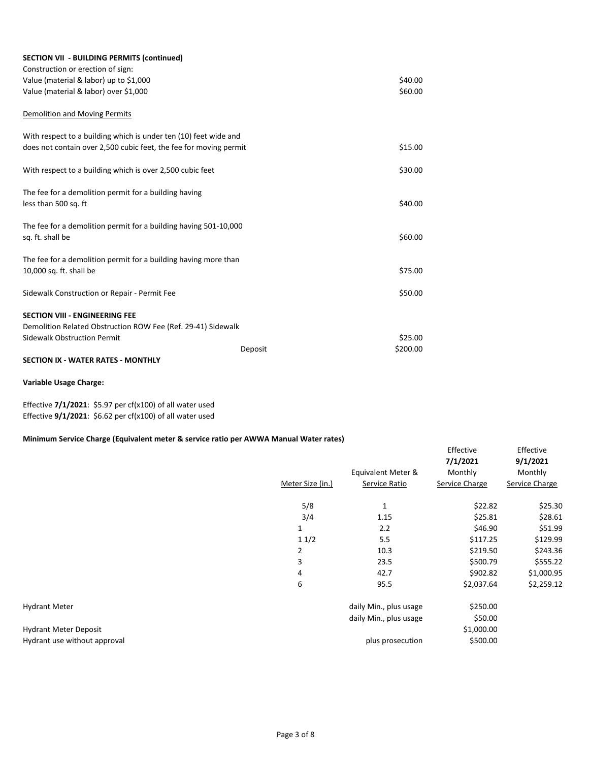| <b>SECTION VII - BUILDING PERMITS (continued)</b>                 |         |          |
|-------------------------------------------------------------------|---------|----------|
| Construction or erection of sign:                                 |         |          |
| Value (material & labor) up to \$1,000                            |         | \$40.00  |
| Value (material & labor) over \$1,000                             |         | \$60.00  |
| Demolition and Moving Permits                                     |         |          |
| With respect to a building which is under ten (10) feet wide and  |         |          |
| does not contain over 2,500 cubic feet, the fee for moving permit |         | \$15.00  |
| With respect to a building which is over 2,500 cubic feet         |         | \$30.00  |
| The fee for a demolition permit for a building having             |         |          |
| less than 500 sq. ft                                              |         | \$40.00  |
| The fee for a demolition permit for a building having 501-10,000  |         |          |
| sq. ft. shall be                                                  |         | \$60.00  |
| The fee for a demolition permit for a building having more than   |         |          |
| 10,000 sq. ft. shall be                                           |         | \$75.00  |
|                                                                   |         | \$50.00  |
| Sidewalk Construction or Repair - Permit Fee                      |         |          |
| <b>SECTION VIII - ENGINEERING FEE</b>                             |         |          |
| Demolition Related Obstruction ROW Fee (Ref. 29-41) Sidewalk      |         |          |
| <b>Sidewalk Obstruction Permit</b>                                |         | \$25.00  |
|                                                                   | Deposit | \$200.00 |

#### **SECTION IX - WATER RATES - MONTHLY**

#### **Variable Usage Charge:**

Effective **7/1/2021**: \$5.97 per cf(x100) of all water used Effective **9/1/2021**: \$6.62 per cf(x100) of all water used

#### **Minimum Service Charge (Equivalent meter & service ratio per AWWA Manual Water rates)**

|                              | 7/1/2021                           | 9/1/2021       |
|------------------------------|------------------------------------|----------------|
|                              | Equivalent Meter &<br>Monthly      | Monthly        |
| Meter Size (in.)             | Service Charge<br>Service Ratio    | Service Charge |
| 5/8                          | \$22.82<br>$\mathbf{1}$            | \$25.30        |
| 3/4                          | \$25.81<br>1.15                    | \$28.61        |
| 1                            | \$46.90<br>2.2                     | \$51.99        |
| 11/2                         | 5.5<br>\$117.25                    | \$129.99       |
| $\overline{2}$               | 10.3<br>\$219.50                   | \$243.36       |
| 3                            | \$500.79<br>23.5                   | \$555.22       |
| 4                            | 42.7<br>\$902.82                   | \$1,000.95     |
| 6                            | \$2,037.64<br>95.5                 | \$2,259.12     |
| <b>Hydrant Meter</b>         | \$250.00<br>daily Min., plus usage |                |
|                              | daily Min., plus usage<br>\$50.00  |                |
| <b>Hydrant Meter Deposit</b> | \$1,000.00                         |                |
| Hydrant use without approval | \$500.00<br>plus prosecution       |                |

Effective Effective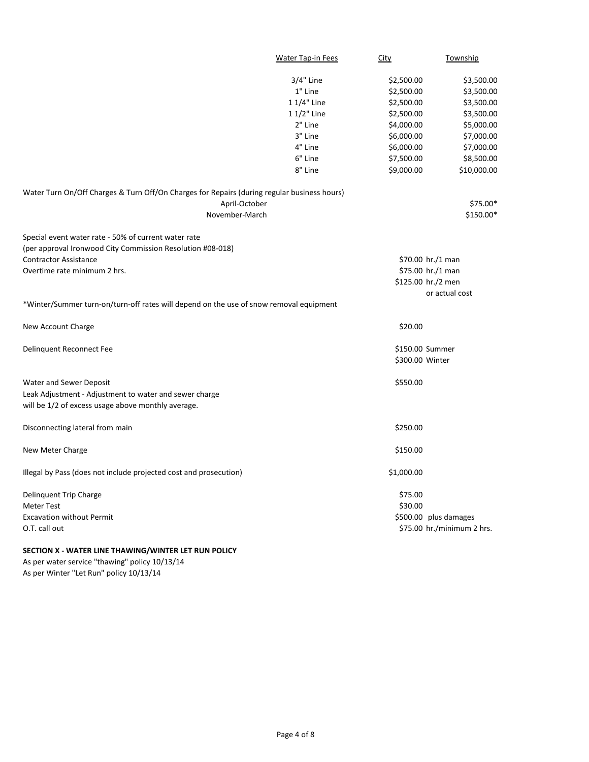|                                                                                             | Water Tap-in Fees | City               | Township                   |
|---------------------------------------------------------------------------------------------|-------------------|--------------------|----------------------------|
|                                                                                             | 3/4" Line         | \$2,500.00         | \$3,500.00                 |
|                                                                                             | 1" Line           | \$2,500.00         | \$3,500.00                 |
|                                                                                             | 1 1/4" Line       | \$2,500.00         | \$3,500.00                 |
|                                                                                             | 1 1/2" Line       | \$2,500.00         | \$3,500.00                 |
|                                                                                             | 2" Line           | \$4,000.00         | \$5,000.00                 |
|                                                                                             | 3" Line           | \$6,000.00         | \$7,000.00                 |
|                                                                                             | 4" Line           | \$6,000.00         | \$7,000.00                 |
|                                                                                             | 6" Line           | \$7,500.00         | \$8,500.00                 |
|                                                                                             | 8" Line           | \$9,000.00         | \$10,000.00                |
| Water Turn On/Off Charges & Turn Off/On Charges for Repairs (during regular business hours) |                   |                    |                            |
| April-October                                                                               |                   |                    | \$75.00*                   |
| November-March                                                                              |                   |                    | \$150.00*                  |
| Special event water rate - 50% of current water rate                                        |                   |                    |                            |
| (per approval Ironwood City Commission Resolution #08-018)                                  |                   |                    |                            |
| <b>Contractor Assistance</b>                                                                |                   | \$70.00 hr./1 man  |                            |
| Overtime rate minimum 2 hrs.                                                                |                   | \$75.00 hr./1 man  |                            |
|                                                                                             |                   | \$125.00 hr./2 men |                            |
|                                                                                             |                   |                    | or actual cost             |
| *Winter/Summer turn-on/turn-off rates will depend on the use of snow removal equipment      |                   |                    |                            |
| New Account Charge                                                                          |                   | \$20.00            |                            |
| Delinquent Reconnect Fee                                                                    |                   | \$150.00 Summer    |                            |
|                                                                                             |                   | \$300.00 Winter    |                            |
| Water and Sewer Deposit                                                                     |                   | \$550.00           |                            |
| Leak Adjustment - Adjustment to water and sewer charge                                      |                   |                    |                            |
| will be 1/2 of excess usage above monthly average.                                          |                   |                    |                            |
| Disconnecting lateral from main                                                             |                   | \$250.00           |                            |
| New Meter Charge                                                                            |                   | \$150.00           |                            |
| Illegal by Pass (does not include projected cost and prosecution)                           |                   | \$1,000.00         |                            |
| Delinquent Trip Charge                                                                      |                   | \$75.00            |                            |
| <b>Meter Test</b>                                                                           |                   | \$30.00            |                            |
| <b>Excavation without Permit</b>                                                            |                   |                    | \$500.00 plus damages      |
| O.T. call out                                                                               |                   |                    | \$75.00 hr./minimum 2 hrs. |

# **SECTION X - WATER LINE THAWING/WINTER LET RUN POLICY**

As per water service "thawing" policy 10/13/14 As per Winter "Let Run" policy 10/13/14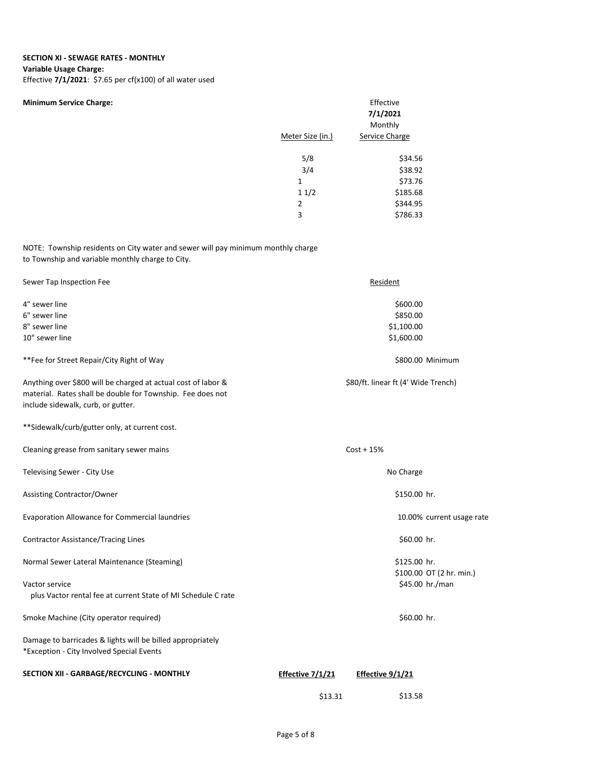#### **SECTION XI - SEWAGE RATES - MONTHLY**

#### **Variable Usage Charge:**

Effective **7/1/2021**: \$7.65 per cf(x100) of all water used

| <b>Minimum Service Charge:</b> | Effective<br>7/1/2021<br>Monthly |                |  |
|--------------------------------|----------------------------------|----------------|--|
|                                | Meter Size (in.)                 | Service Charge |  |
|                                | 5/8                              | \$34.56        |  |
|                                | 3/4                              | \$38.92        |  |
|                                | $\mathbf{1}$                     | \$73.76        |  |
|                                | 11/2                             | \$185.68       |  |
|                                | 2                                | \$344.95       |  |
|                                | 3                                | \$786.33       |  |

NOTE: Township residents on City water and sewer will pay minimum monthly charge to Township and variable monthly charge to City.

| Sewer Tap Inspection Fee                                                                                                                                          |                  | Resident                            |
|-------------------------------------------------------------------------------------------------------------------------------------------------------------------|------------------|-------------------------------------|
| 4" sewer line                                                                                                                                                     |                  | \$600.00                            |
| 6" sewer line                                                                                                                                                     |                  | \$850.00                            |
| 8" sewer line                                                                                                                                                     |                  | \$1,100.00                          |
| 10" sewer line                                                                                                                                                    |                  | \$1,600.00                          |
| **Fee for Street Repair/City Right of Way                                                                                                                         |                  | \$800.00 Minimum                    |
| Anything over \$800 will be charged at actual cost of labor &<br>material. Rates shall be double for Township. Fee does not<br>include sidewalk, curb, or gutter. |                  | \$80/ft. linear ft (4' Wide Trench) |
| **Sidewalk/curb/gutter only, at current cost.                                                                                                                     |                  |                                     |
| Cleaning grease from sanitary sewer mains                                                                                                                         |                  | $Cost + 15%$                        |
| Televising Sewer - City Use                                                                                                                                       |                  | No Charge                           |
| Assisting Contractor/Owner                                                                                                                                        |                  | \$150.00 hr.                        |
| Evaporation Allowance for Commercial laundries                                                                                                                    |                  | 10.00% current usage rate           |
| <b>Contractor Assistance/Tracing Lines</b>                                                                                                                        |                  | \$60.00 hr.                         |
| Normal Sewer Lateral Maintenance (Steaming)                                                                                                                       |                  | \$125.00 hr.                        |
|                                                                                                                                                                   |                  | \$100.00 OT (2 hr. min.)            |
| Vactor service                                                                                                                                                    |                  | \$45.00 hr./man                     |
| plus Vactor rental fee at current State of MI Schedule C rate                                                                                                     |                  |                                     |
| Smoke Machine (City operator required)                                                                                                                            |                  | \$60.00 hr.                         |
| Damage to barricades & lights will be billed appropriately<br>*Exception - City Involved Special Events                                                           |                  |                                     |
| SECTION XII - GARBAGE/RECYCLING - MONTHLY                                                                                                                         | Effective 7/1/21 | Effective 9/1/21                    |
|                                                                                                                                                                   | \$13.31          | \$13.58                             |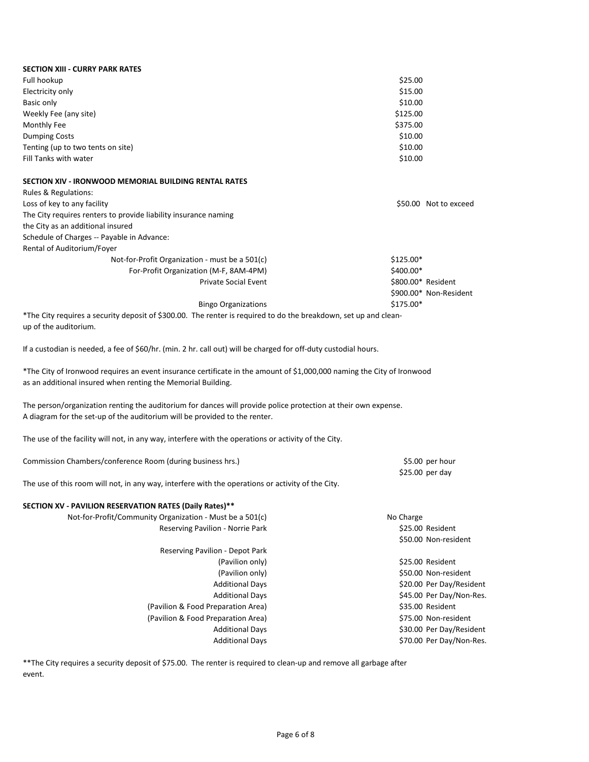| <b>SECTION XIII - CURRY PARK RATES</b>                                                                                                                                                 |                    |                          |
|----------------------------------------------------------------------------------------------------------------------------------------------------------------------------------------|--------------------|--------------------------|
| Full hookup                                                                                                                                                                            | \$25.00            |                          |
| Electricity only                                                                                                                                                                       | \$15.00            |                          |
| Basic only                                                                                                                                                                             | \$10.00            |                          |
| Weekly Fee (any site)                                                                                                                                                                  | \$125.00           |                          |
| Monthly Fee                                                                                                                                                                            | \$375.00           |                          |
| <b>Dumping Costs</b>                                                                                                                                                                   | \$10.00            |                          |
| Tenting (up to two tents on site)                                                                                                                                                      | \$10.00            |                          |
| Fill Tanks with water                                                                                                                                                                  | \$10.00            |                          |
| SECTION XIV - IRONWOOD MEMORIAL BUILDING RENTAL RATES                                                                                                                                  |                    |                          |
| Rules & Regulations:                                                                                                                                                                   |                    |                          |
| Loss of key to any facility                                                                                                                                                            |                    | \$50.00 Not to exceed    |
| The City requires renters to provide liability insurance naming                                                                                                                        |                    |                          |
| the City as an additional insured                                                                                                                                                      |                    |                          |
| Schedule of Charges -- Payable in Advance:                                                                                                                                             |                    |                          |
| Rental of Auditorium/Foyer                                                                                                                                                             |                    |                          |
| Not-for-Profit Organization - must be a 501(c)                                                                                                                                         | \$125.00*          |                          |
| For-Profit Organization (M-F, 8AM-4PM)                                                                                                                                                 | \$400.00*          |                          |
| <b>Private Social Event</b>                                                                                                                                                            | \$800.00* Resident |                          |
|                                                                                                                                                                                        |                    | \$900.00* Non-Resident   |
| <b>Bingo Organizations</b>                                                                                                                                                             | \$175.00*          |                          |
| *The City requires a security deposit of \$300.00. The renter is required to do the breakdown, set up and clean-                                                                       |                    |                          |
| up of the auditorium.                                                                                                                                                                  |                    |                          |
| If a custodian is needed, a fee of \$60/hr. (min. 2 hr. call out) will be charged for off-duty custodial hours.                                                                        |                    |                          |
| *The City of Ironwood requires an event insurance certificate in the amount of \$1,000,000 naming the City of Ironwood<br>as an additional insured when renting the Memorial Building. |                    |                          |
|                                                                                                                                                                                        |                    |                          |
| The person/organization renting the auditorium for dances will provide police protection at their own expense.                                                                         |                    |                          |
| A diagram for the set-up of the auditorium will be provided to the renter.                                                                                                             |                    |                          |
| The use of the facility will not, in any way, interfere with the operations or activity of the City.                                                                                   |                    |                          |
| Commission Chambers/conference Room (during business hrs.)                                                                                                                             |                    | \$5.00 per hour          |
|                                                                                                                                                                                        |                    | \$25.00 per day          |
| The use of this room will not, in any way, interfere with the operations or activity of the City.                                                                                      |                    |                          |
| SECTION XV - PAVILION RESERVATION RATES (Daily Rates)**                                                                                                                                |                    |                          |
| Not-for-Profit/Community Organization - Must be a 501(c)                                                                                                                               | No Charge          |                          |
| Reserving Pavilion - Norrie Park                                                                                                                                                       |                    | \$25.00 Resident         |
|                                                                                                                                                                                        |                    | \$50.00 Non-resident     |
| Reserving Pavilion - Depot Park                                                                                                                                                        |                    |                          |
| (Pavilion only)                                                                                                                                                                        |                    | \$25.00 Resident         |
| (Pavilion only)                                                                                                                                                                        |                    | \$50.00 Non-resident     |
| <b>Additional Days</b>                                                                                                                                                                 |                    | \$20.00 Per Day/Resident |
| <b>Additional Days</b>                                                                                                                                                                 |                    | \$45.00 Per Day/Non-Res. |
| (Pavilion & Food Preparation Area)                                                                                                                                                     |                    | \$35.00 Resident         |
| (Pavilion & Food Preparation Area)                                                                                                                                                     |                    | \$75.00 Non-resident     |
| <b>Additional Days</b>                                                                                                                                                                 |                    | \$30.00 Per Day/Resident |
| <b>Additional Days</b>                                                                                                                                                                 |                    | \$70.00 Per Day/Non-Res. |
|                                                                                                                                                                                        |                    |                          |

\*\*The City requires a security deposit of \$75.00. The renter is required to clean-up and remove all garbage after event.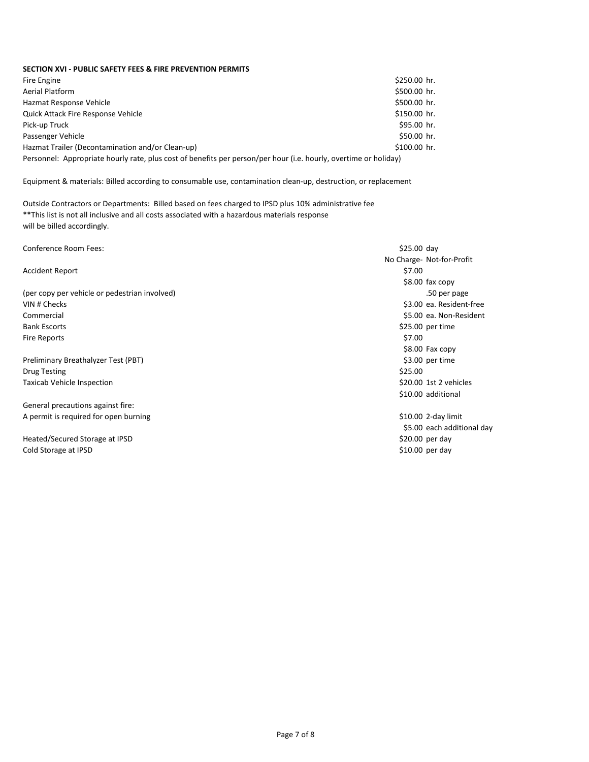### **SECTION XVI - PUBLIC SAFETY FEES & FIRE PREVENTION PERMITS**

| Fire Engine                                                                                                      | \$250.00 hr. |  |
|------------------------------------------------------------------------------------------------------------------|--------------|--|
| Aerial Platform                                                                                                  | \$500.00 hr. |  |
| Hazmat Response Vehicle                                                                                          | \$500.00 hr. |  |
| Quick Attack Fire Response Vehicle                                                                               | \$150.00 hr. |  |
| Pick-up Truck                                                                                                    | \$95.00 hr.  |  |
| Passenger Vehicle                                                                                                | \$50.00 hr.  |  |
| Hazmat Trailer (Decontamination and/or Clean-up)                                                                 | \$100.00 hr. |  |
| Personnel: Appropriate hourly rate, plus cost of benefits per person/per hour (i.e. hourly, overtime or holiday) |              |  |

Equipment & materials: Billed according to consumable use, contamination clean-up, destruction, or replacement

Outside Contractors or Departments: Billed based on fees charged to IPSD plus 10% administrative fee \*\*This list is not all inclusive and all costs associated with a hazardous materials response will be billed accordingly.

| Conference Room Fees:                         | $$25.00$ day               |
|-----------------------------------------------|----------------------------|
|                                               | No Charge- Not-for-Profit  |
| <b>Accident Report</b>                        | \$7.00                     |
|                                               | $$8.00$ fax copy           |
| (per copy per vehicle or pedestrian involved) | .50 per page               |
| VIN # Checks                                  | \$3.00 ea. Resident-free   |
| Commercial                                    | \$5.00 ea. Non-Resident    |
| <b>Bank Escorts</b>                           | \$25.00 per time           |
| <b>Fire Reports</b>                           | \$7.00                     |
|                                               | \$8.00 Fax copy            |
| Preliminary Breathalyzer Test (PBT)           | \$3.00 per time            |
| <b>Drug Testing</b>                           | \$25.00                    |
| Taxicab Vehicle Inspection                    | \$20.00 1st 2 vehicles     |
|                                               | \$10.00 additional         |
| General precautions against fire:             |                            |
| A permit is required for open burning         | \$10.00 2-day limit        |
|                                               | \$5.00 each additional day |
| Heated/Secured Storage at IPSD                | $$20.00$ per day           |
| Cold Storage at IPSD                          | \$10.00 per day            |